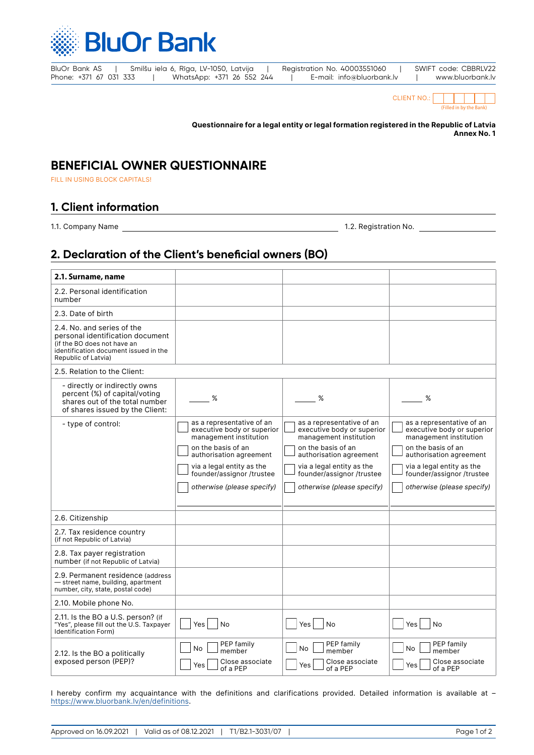

| BluOr Bank AS          |  | Smilšu iela 6, Rīga, LV-1050, Latvija |  | Registration No. 40003551060 | SWIFT code: CBBRLV22 |
|------------------------|--|---------------------------------------|--|------------------------------|----------------------|
| Phone: +371 67 031 333 |  | WhatsApp: +371 26 552 244             |  | E-mail: info@bluorbank.lv    | www.bluorbank.lv     |

| <b>CLIENT NO.:</b> |                         |  |  |  |  |  |
|--------------------|-------------------------|--|--|--|--|--|
|                    | (Filled in by the Bank) |  |  |  |  |  |

**Questionnaire for a legal entity or legal formation registered in the Republic of Latvia Annex No. 1**

## **BENEFICIAL OWNER QUESTIONNAIRE**

FILL IN USING BLOCK CAPITALS!

## **1. Client information**

1.1. Company Name 1.2. Registration No.

## **2. Declaration of the Client's beneficial owners (BO)**

| 2.1. Surname, name                                                                                                                                            |                                                                                   |                                                                                   |                                                                                   |
|---------------------------------------------------------------------------------------------------------------------------------------------------------------|-----------------------------------------------------------------------------------|-----------------------------------------------------------------------------------|-----------------------------------------------------------------------------------|
| 2.2. Personal identification<br>number                                                                                                                        |                                                                                   |                                                                                   |                                                                                   |
| 2.3. Date of birth                                                                                                                                            |                                                                                   |                                                                                   |                                                                                   |
| 2.4. No. and series of the<br>personal identification document<br>(if the BO does not have an<br>identification document issued in the<br>Republic of Latvia) |                                                                                   |                                                                                   |                                                                                   |
| 2.5. Relation to the Client:                                                                                                                                  |                                                                                   |                                                                                   |                                                                                   |
| - directly or indirectly owns<br>percent (%) of capital/voting<br>shares out of the total number<br>of shares issued by the Client:                           | %                                                                                 | %                                                                                 | %                                                                                 |
| - type of control:                                                                                                                                            | as a representative of an<br>executive body or superior<br>management institution | as a representative of an<br>executive body or superior<br>management institution | as a representative of an<br>executive body or superior<br>management institution |
|                                                                                                                                                               | on the basis of an<br>authorisation agreement                                     | on the basis of an<br>authorisation agreement                                     | on the basis of an<br>authorisation agreement                                     |
|                                                                                                                                                               | via a legal entity as the<br>founder/assignor /trustee                            | via a legal entity as the<br>founder/assignor /trustee                            | via a legal entity as the<br>founder/assignor /trustee                            |
|                                                                                                                                                               | otherwise (please specify)                                                        | otherwise (please specify)                                                        | otherwise (please specify)                                                        |
| 2.6. Citizenship                                                                                                                                              |                                                                                   |                                                                                   |                                                                                   |
| 2.7. Tax residence country<br>(if not Republic of Latvia)                                                                                                     |                                                                                   |                                                                                   |                                                                                   |
| 2.8. Tax payer registration<br>number (if not Republic of Latvia)                                                                                             |                                                                                   |                                                                                   |                                                                                   |
| 2.9. Permanent residence (address<br>- street name, building, apartment<br>number, city, state, postal code)                                                  |                                                                                   |                                                                                   |                                                                                   |
| 2.10. Mobile phone No.                                                                                                                                        |                                                                                   |                                                                                   |                                                                                   |
| 2.11. Is the BO a U.S. person? (if<br>"Yes", please fill out the U.S. Taxpayer<br><b>Identification Form)</b>                                                 | Yes<br><b>No</b>                                                                  | Yes<br>No                                                                         | <b>No</b><br><b>Yes</b>                                                           |
| 2.12. Is the BO a politically<br>exposed person (PEP)?                                                                                                        | PEP family<br><b>No</b><br>member<br>Close associate<br>Yes<br>of a PEP           | PEP family<br><b>No</b><br>member<br>Close associate<br>Yes<br>of a PEP           | PEP family<br>No.<br>member<br>Close associate<br>Yes<br>of a PEP                 |

I hereby confirm my acquaintance with the definitions and clarifications provided. Detailed information is available at – <https://www.bluorbank.lv/en/definitions>.